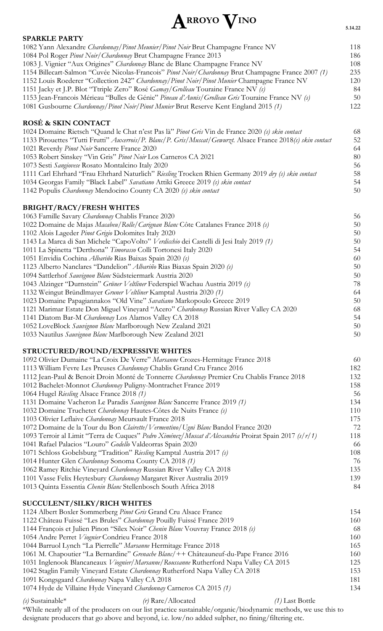## **ARROYO VINO**

| <b>SPARKLE PARTY</b>                                                                                         |     |
|--------------------------------------------------------------------------------------------------------------|-----|
| 1082 Yann Alexandre Chardonnay/Pinot Meunier/Pinot Noir Brut Champagne France NV                             | 118 |
| 1084 Pol Roger Pinot Noir/Chardonnay Brut Champagne France 2013                                              | 186 |
| 1083 J. Vignier "Aux Origines" Chardonnay Blanc de Blanc Champagne France NV                                 | 108 |
| 1154 Billecart-Salmon "Cuvée Nicolas-Francois" Pinot Noir/Chardonnay Brut Champagne France 2007 (1)          | 235 |
| 1152 Louis Roederer "Collection 242" Chardonnay/Pinot Noir/Pinot Munier Champagne France NV                  | 120 |
| 1151 Jacky et J.P. Blot "Ttriple Zero" Rosé Gamay/Grolleau Touraine France NV (s)                            | 84  |
| 1153 Jean-Francois Mérieau "Bulles de Génie" Pineau d'Aunis/Grolleau Gris Touraine France NV (s)             | 50  |
| 1081 Gusbourne Chardonnay/Pinot Noir/Pinot Munier Brut Reserve Kent England 2015 (1)                         | 122 |
| ROSÉ & SKIN CONTACT                                                                                          |     |
| 1024 Domaine Rietsch "Quand le Chat n'est Pas là" Pinot Gris Vin de France 2020 (s) skin contact             | 68  |
| 1133 Pirouettes "Tutti Frutti" Auxerrois/P. Blanc/P. Gris/Muscat/Gewurzt. Alsace France 2018(s) skin contact | 52  |
| 1021 Reverdy Pinot Noir Sancerre France 2020                                                                 | 64  |
| 1053 Robert Sinskey "Vin Gris" Pinot Noir Los Carneros CA 2021                                               | 80  |
| 1073 Sesti Sangiovese Rosato Montalcino Italy 2020                                                           | 56  |
| 1111 Carl Ehrhard "Frau Ehrhard Naturlich" Riesling Trocken Rhien Germany 2019 dry (s) skin contact          | 58  |
| 1034 Georgas Family "Black Label" Savatiano Attiki Greece 2019 (s) skin contact                              | 54  |
| 1142 Populis Chardonnay Mendocino County CA 2020 (s) skin contact                                            | 50  |
| <b>BRIGHT/RACY/FRESH WHITES</b>                                                                              |     |
| 1063 Famille Savary Chardonnay Chablis France 2020                                                           | 56  |
| 1022 Domaine de Majas Macabeu/Rolle/Carignan Blanc Côte Catalanes France 2018 (s)                            | 50  |
| 1102 Alois Lageder Pinot Grigio Dolomites Italy 2020                                                         | 50  |
| 1143 La Marca di San Michele "CapoVolto" Verdicchio dei Castelli di Jesi Italy 2019 (1)                      | 50  |
| 1011 La Spinetta "Derthona" Timorasso Colli Tortonesi Italy 2020                                             | 54  |
| 1051 Envidia Cochina Albariño Rias Baixas Spain 2020 (s)                                                     | 60  |
| 1123 Alberto Nanclares "Dandelion" Albariño Rias Biaxas Spain 2020 (s)                                       | 50  |
| 1094 Sattlerhof Sauvignon Blanc Südsteiermark Austria 2020                                                   | 50  |
| 1043 Alzinger "Durnstein" Grüner Veltliner Federspiel Wachau Austria 2019 (s)                                | 78  |
| 1132 Weingut Bründlmayer Gruner Veltliner Kamptal Austria 2020 (1)                                           | 64  |
| 1023 Domaine Papagiannakos "Old Vine" Savatiano Markopoulo Greece 2019                                       | 50  |
| 1121 Marimar Estate Don Miguel Vineyard "Acero" Chardonnay Russian River Valley CA 2020                      | 68  |
| 1141 Diatom Bar-M Chardonnay Los Alamos Valley CA 2018                                                       | 54  |
| 1052 LoveBlock Sauvignon Blanc Marlborough New Zealand 2021                                                  | 50  |
| 1033 Nautilus Sauvignon Blanc Marlborough New Zealand 2021                                                   | 50  |
| STRUCTURED/ROUND/EXPRESSIVE WHITES                                                                           |     |
| 1092 Olivier Dumaine "La Croix De Verre" Marsanne Crozes-Hermitage France 2018                               | 60  |
| 1113 William Fevre Les Preuses Chardonnay Chablis Grand Cru France 2016                                      | 182 |
| 1112 Jean-Paul & Benoit Droin Monté de Tonnerre Chardonnay Premier Cru Chablis France 2018                   | 132 |
| 1012 Bachelet-Monnot Chardonnay Puligny-Montrachet France 2019                                               | 158 |
| 1064 Hugel Riesling Alsace France 2018 (1)                                                                   | 56  |
|                                                                                                              |     |

1131 Domaine Vacheron Le Paradis *Sauvignon Blanc* Sancerre France 2019 *(1)* 134 1032 Domaine Truchetet *Chardonnay* Hautes-Côtes de Nuits France *(s)* 110

1103 Olivier Leflaive *Chardonnay* Meursault France 2018 175

1072 Domaine de la Tour du Bon *Clairette/Vermentino/Ugni Blanc* Bandol France 2020 72 1093 Terroir al Limit "Terra de Cuques" *Pedro Ximénez/Muscat d'Alexandria* Proirat Spain 2017 *(s/r/1)* 118 1041 Rafael Palacios "Louro" *Godello* Valdeorras Spain 2020 66 1071 Schloss Gobelsburg "Tradition" *Riesling* Kamptal Austria 2017 *(s)* 108 1014 Hunter Glen *Chardonnay* Sonoma County CA 2018 *(1)* 76 1062 Ramey Ritchie Vineyard *Chardonnay* Russian River Valley CA 2018 135 1101 Vasse Felix Heytesbury *Chardonnay* Margaret River Australia 2019 139

1013 Quinta Essentia *Chenin Blanc* Stellenbosch South Africa 2018 84

## **SUCCULENT/SILKY/RICH WHITES**

| 1124 Albert Boxler Sommerberg Pinot Gris Grand Cru Alsace France                      | 154 |
|---------------------------------------------------------------------------------------|-----|
| 1122 Château Fuissé "Les Brules" Chardonnay Pouilly Fuissé France 2019                | 160 |
| 1144 François et Julien Pinon "Silex Noir" Chenin Blanc Vouvray France 2018 (s)       | 68  |
| 1054 Andre Perret Viognier Condrieu France 2018                                       | 160 |
| 1044 Barruol Lynch "La Pierrelle" Marsanne Hermitage France 2018                      | 165 |
| 1061 M. Chapoutier "La Bernardine" Grenache Blanc/++ Châteauneuf-du-Pape France 2016  | 160 |
| 1031 Inglenook Blancaneaux Viognier/Marsanne/Roussanne Rutherford Napa Valley CA 2015 | 125 |
| 1042 Staglin Family Vineyard Estate Chardonnay Rutherford Napa Valley CA 2018         | 153 |
| 1091 Kongsgaard Chardonnay Napa Valley CA 2018                                        | 181 |
| 1074 Hyde de Villaine Hyde Vineyard Chardonnay Carneros CA 2015 (1)                   | 134 |
|                                                                                       |     |

*(s)* Sustainable\* *(r)* Rare/Allocated *(1)* Last Bottle \*While nearly all of the producers on our list practice sustainable/organic/biodynamic methods, we use this to designate producers that go above and beyond, i.e. low/no added sulpher, no fining/filtering etc.

**5.14.22**